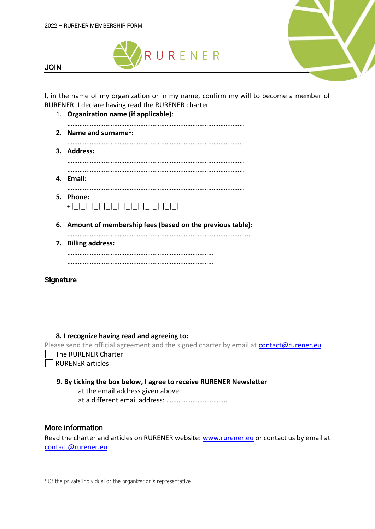



JOIN

I, in the name of my organization or in my name, confirm my will to become a member of RURENER. I declare having read the RURENER charter

1. **Organization name (if applicable)**: ………………………………………………………………………………………… **2. Name and surname<sup>1</sup> :** ………………………………………………………………………………………… **3. Address:** ………………………………………………………………………………………… ………………………………………………………………………………………… **4. Email:** ………………………………………………………………………………………… **5. Phone:**  +|\_|\_| |\_| |\_|\_| |\_|\_| |\_|\_| |\_|\_| **6. Amount of membership fees (based on the previous table):** …………………………………………………………………………………………... **7. Billing address:** …………………………………………………………………………

…………………………………………………………………………

## **Signature**

**8. I recognize having read and agreeing to:** 

Please send the official agreement and the signed charter by email at **contact@rurener.eu** 

The RURENER Charter

RURENER articles

#### **9. By ticking the box below, I agree to receive RURENER Newsletter**

at the email address given above.

at a different email address: ………………………………

### More information

Read the charter and articles on RURENER website: [www.rurener.eu](http://www.rurener.eu/) or contact us by email at [contact@rurener.eu](mailto:contact@rurener.eu) 

<sup>1</sup> Of the private individual or the organization's representative